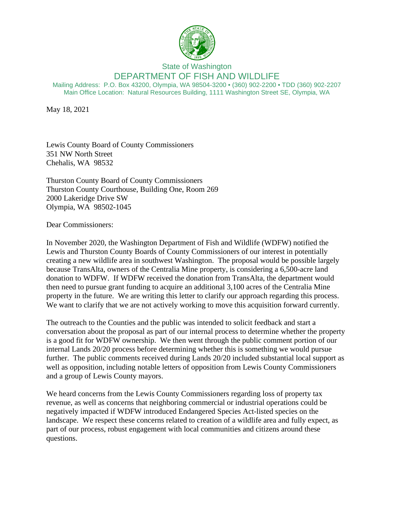

## State of Washington DEPARTMENT OF FISH AND WILDLIFE

Mailing Address: P.O. Box 43200, Olympia, WA 98504-3200 • (360) 902-2200 • TDD (360) 902-2207 Main Office Location: Natural Resources Building, 1111 Washington Street SE, Olympia, WA

May 18, 2021

Lewis County Board of County Commissioners 351 NW North Street Chehalis, WA 98532

Thurston County Board of County Commissioners Thurston County Courthouse, Building One, Room 269 2000 Lakeridge Drive SW Olympia, WA 98502-1045

Dear Commissioners:

In November 2020, the Washington Department of Fish and Wildlife (WDFW) notified the Lewis and Thurston County Boards of County Commissioners of our interest in potentially creating a new wildlife area in southwest Washington. The proposal would be possible largely because TransAlta, owners of the Centralia Mine property, is considering a 6,500-acre land donation to WDFW. If WDFW received the donation from TransAlta, the department would then need to pursue grant funding to acquire an additional 3,100 acres of the Centralia Mine property in the future. We are writing this letter to clarify our approach regarding this process. We want to clarify that we are not actively working to move this acquisition forward currently.

The outreach to the Counties and the public was intended to solicit feedback and start a conversation about the proposal as part of our internal process to determine whether the property is a good fit for WDFW ownership. We then went through the public comment portion of our internal Lands 20/20 process before determining whether this is something we would pursue further. The public comments received during Lands 20/20 included substantial local support as well as opposition, including notable letters of opposition from Lewis County Commissioners and a group of Lewis County mayors.

We heard concerns from the Lewis County Commissioners regarding loss of property tax revenue, as well as concerns that neighboring commercial or industrial operations could be negatively impacted if WDFW introduced Endangered Species Act-listed species on the landscape. We respect these concerns related to creation of a wildlife area and fully expect, as part of our process, robust engagement with local communities and citizens around these questions.